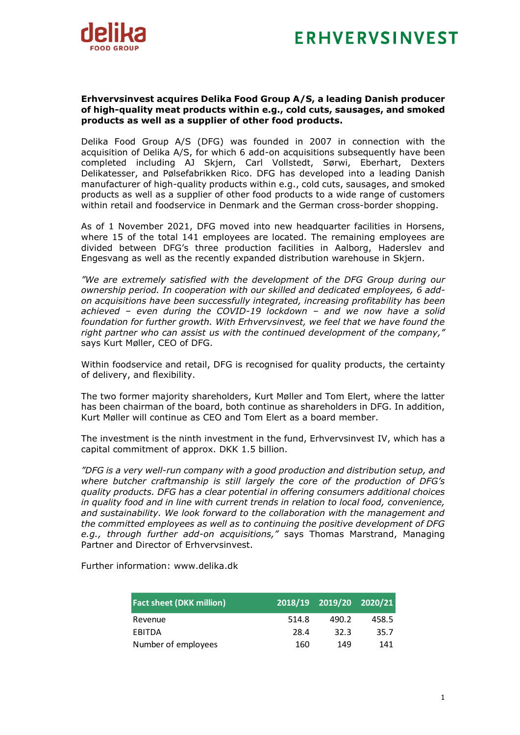



## **Erhvervsinvest acquires Delika Food Group A/S, a leading Danish producer of high-quality meat products within e.g., cold cuts, sausages, and smoked products as well as a supplier of other food products.**

Delika Food Group A/S (DFG) was founded in 2007 in connection with the acquisition of Delika A/S, for which 6 add-on acquisitions subsequently have been completed including AJ Skjern, Carl Vollstedt, Sørwi, Eberhart, Dexters Delikatesser, and Pølsefabrikken Rico. DFG has developed into a leading Danish manufacturer of high-quality products within e.g., cold cuts, sausages, and smoked products as well as a supplier of other food products to a wide range of customers within retail and foodservice in Denmark and the German cross-border shopping.

As of 1 November 2021, DFG moved into new headquarter facilities in Horsens, where 15 of the total 141 employees are located. The remaining employees are divided between DFG's three production facilities in Aalborg, Haderslev and Engesvang as well as the recently expanded distribution warehouse in Skjern.

*"We are extremely satisfied with the development of the DFG Group during our ownership period. In cooperation with our skilled and dedicated employees, 6 addon acquisitions have been successfully integrated, increasing profitability has been achieved – even during the COVID-19 lockdown – and we now have a solid foundation for further growth. With Erhvervsinvest, we feel that we have found the right partner who can assist us with the continued development of the company,"*  says Kurt Møller, CEO of DFG.

Within foodservice and retail, DFG is recognised for quality products, the certainty of delivery, and flexibility.

The two former majority shareholders, Kurt Møller and Tom Elert, where the latter has been chairman of the board, both continue as shareholders in DFG. In addition, Kurt Møller will continue as CEO and Tom Elert as a board member.

The investment is the ninth investment in the fund, Erhvervsinvest IV, which has a capital commitment of approx. DKK 1.5 billion.

*"DFG is a very well-run company with a good production and distribution setup, and where butcher craftmanship is still largely the core of the production of DFG's quality products. DFG has a clear potential in offering consumers additional choices in quality food and in line with current trends in relation to local food, convenience, and sustainability. We look forward to the collaboration with the management and the committed employees as well as to continuing the positive development of DFG e.g., through further add-on acquisitions,"* says Thomas Marstrand, Managing Partner and Director of Erhvervsinvest.

Further information: www.delika.dk

| <b>Fact sheet (DKK million)</b> |       | 2018/19 2019/20 2020/21 |       |
|---------------------------------|-------|-------------------------|-------|
| Revenue                         | 514.8 | 490.2                   | 458.5 |
| EBITDA                          | 28.4  | 32.3                    | 35.7  |
| Number of employees             | 160   | 149                     | 141   |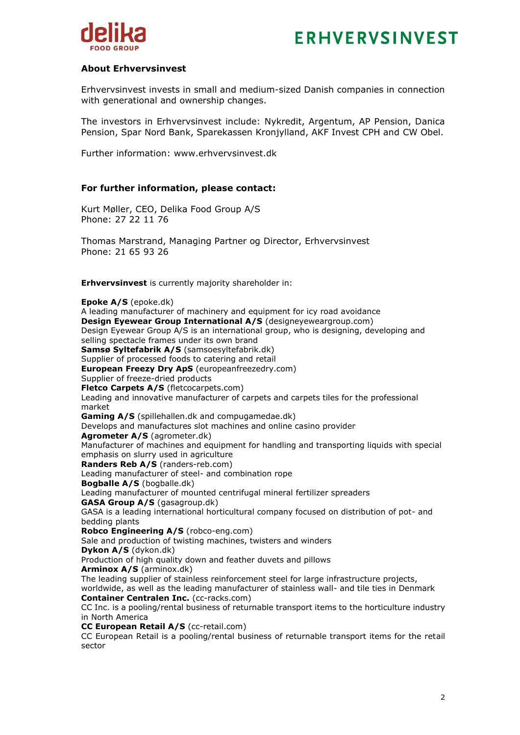



## **About Erhvervsinvest**

Erhvervsinvest invests in small and medium-sized Danish companies in connection with generational and ownership changes.

The investors in Erhvervsinvest include: Nykredit, Argentum, AP Pension, Danica Pension, Spar Nord Bank, Sparekassen Kronjylland, AKF Invest CPH and CW Obel.

Further information: www.erhvervsinvest.dk

## **For further information, please contact:**

Kurt Møller, CEO, Delika Food Group A/S Phone: 27 22 11 76

Thomas Marstrand, Managing Partner og Director, Erhvervsinvest Phone: 21 65 93 26

**Erhvervsinvest** is currently majority shareholder in:

**Epoke A/S** (epoke.dk) A leading manufacturer of machinery and equipment for icy road avoidance **Design Evewear Group International A/S** (designeyeweargroup.com) Design Eyewear Group A/S is an international group, who is designing, developing and selling spectacle frames under its own brand **Samsø Syltefabrik A/S** (samsoesyltefabrik.dk) Supplier of processed foods to catering and retail **European Freezy Dry ApS** (europeanfreezedry.com) Supplier of freeze-dried products **Fletco Carpets A/S** (fletcocarpets.com) Leading and innovative manufacturer of carpets and carpets tiles for the professional market **Gaming A/S** (spillehallen.dk and compugamedae.dk) Develops and manufactures slot machines and online casino provider **Agrometer A/S** (agrometer.dk) Manufacturer of machines and equipment for handling and transporting liquids with special emphasis on slurry used in agriculture **Randers Reb A/S** (randers-reb.com) Leading manufacturer of steel- and combination rope **Bogballe A/S** (bogballe.dk) Leading manufacturer of mounted centrifugal mineral fertilizer spreaders **GASA Group A/S** (gasagroup.dk) GASA is a leading international horticultural company focused on distribution of pot- and bedding plants **Robco Engineering A/S** (robco-eng.com) Sale and production of twisting machines, twisters and winders **Dykon A/S** (dykon.dk) Production of high quality down and feather duvets and pillows **Arminox A/S** (arminox.dk) The leading supplier of stainless reinforcement steel for large infrastructure projects, worldwide, as well as the leading manufacturer of stainless wall- and tile ties in Denmark **Container Centralen Inc.** (cc-racks.com) CC Inc. is a pooling/rental business of returnable transport items to the horticulture industry in North America **CC European Retail A/S** (cc-retail.com) CC European Retail is a pooling/rental business of returnable transport items for the retail sector